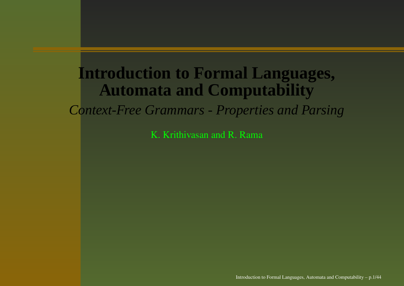# **Introduction to Formal Languages, Automata and Computability**

*Context-Free Grammars - Properties and Parsing*

K. Krithivasan and R. Rama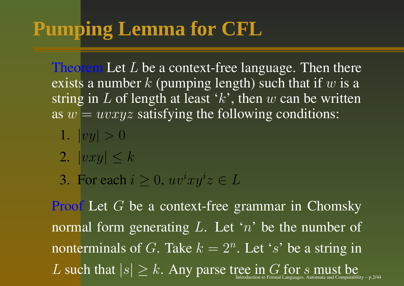# **Pumping Lemma for CFL**

Theorem Let  $L$  be a context-free language. Then there exists a number  $k$  (pumping length) such that if  $w$  is a string in L of length at least 'k', then w can be written as  $w = uvxyz$  satisfying the following conditions:

- 1.  $|vy| > 0$
- 2.  $|vxy| < k$
- 3. For each  $i\geq 0,$   $uv^ixy^iz\in L$

Proof Let G be a context-free grammar in Chomsky normal form generating L. Let 'n' be the number of nonterminals of G. Take  $k = 2^n$ . Let 's' be a string in L such that  $|s|\geq k.$  Any parse tree in G for s must be Introduction to Formal Languages. Automata and Computabil Introduction to Formal Languages, Automata and Computability  $-$  p.2/44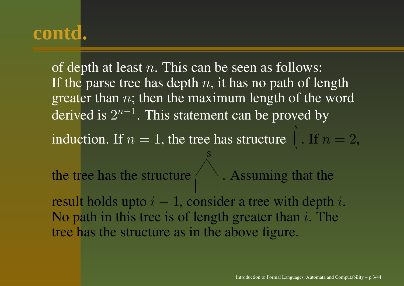of depth at least  $n.$  This can be seen as follows: If the parse tree has depth  $n,$  it has no path of length greater than  $n$ ; then the maximum length of the word derived is  $2^{n-1}.$  This statement can be proved by induction. If  $n=1$ , the tree has structure S. If  $n=2,$ the tree has the structure  $\bigwedge$ S. Assuming that the result holds upto  $i-1$ , consider a tree with depth  $i.$ No path in this tree is of length greater than  $i$ . The tree has the structure as in the above figure.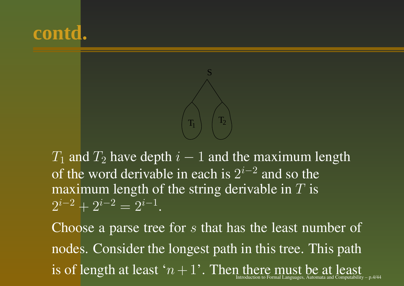



 $T_1$  and  $T_2$  have depth  $i-1$  and the maximum length of the word derivable in each is  $2^{i-2}$  and so the maximum length of the string derivable in  $T$  is  $2^{i-2} + 2^{i-2} = 2^{i-1}$ .

Choose a parse tree for s that has the least number of nodes. Consider the longest path in this tree. This path is of length at least ' $n+1$ '. Then there must be at least to Formal Languages, Automata and Computability – p.4/44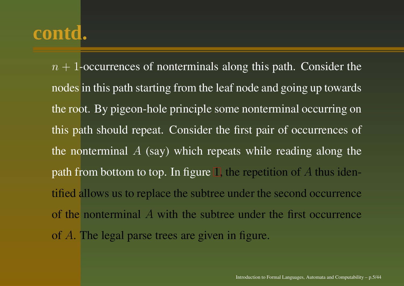$n + 1$ -occurrences of nonterminals along this path. Consider the nodes in this path starting from the leaf node and going up towards the root. By pigeon-hole principle some nonterminal occurring on this path should repeat. Consider the first pair of occurrences of the nonterminal  $A$  (say) which repeats while reading along the path from bottom to top. In fig[ur](#page-5-0)e 1, the repetition of A thus identified allows us to replace the subtree under the second occurrence of the nonterminal A with the subtree under the first occurrence of A. The legal parse trees are given in figure.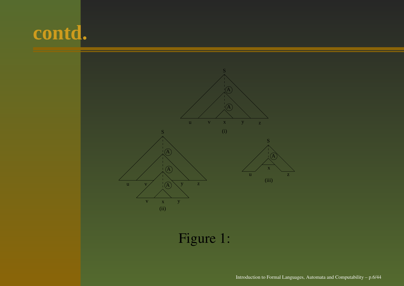<span id="page-5-0"></span>

Figure 1: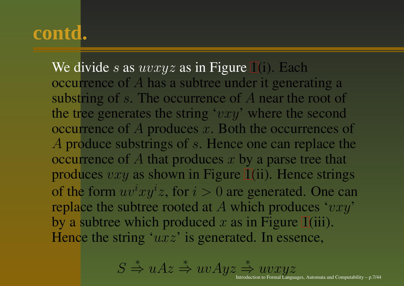We divide s as  $uvxyz$  as in Fig[ure](#page-5-0) 1(i). Each occurrence of A has a subtree under it generating a substring of s. The occurrence of A near the root of the tree generates the string ' $vxy$ ' where the second occurrence of  $A$  produces  $x$ . Both the occurrences of A produce substrings of s. Hence one can replace the occurrence of  $A$  that produces  $x$  by a parse tree that produces  $vxy$  as shown in Fig[ure](#page-5-0) 1(ii). Hence strings of the form  $uv^ixy^iz$ , for  $i>0$  are generated. One can replace the subtree rooted at A which produces ' $vxy$ ' by a subtree which produced  $x$  as in Fig[ure](#page-5-0) 1(iii). Hence the string ' $uxz$ ' is generated. In essence,

$$
S\overset{*}{\Rightarrow} uAz\overset{*}{\Rightarrow} uvA yz \overset{*}{\Rightarrow} uvxyz
$$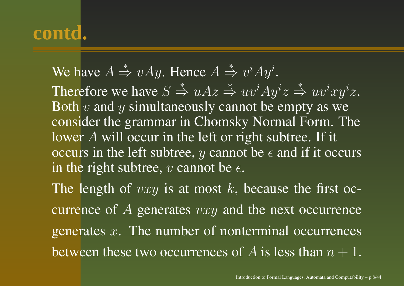We have  $A \stackrel{*}{\Rightarrow} vAy$ . Hence  $A \stackrel{*}{\Rightarrow} v^iAy^i$ .

Therefore we have  $S \stackrel{*}{\Rightarrow} uAz \stackrel{*}{\Rightarrow} uv^iAy^iz \stackrel{*}{\Rightarrow} uv^ixy^iz$ . Both  $v$  and  $y$  simultaneously cannot be empty as we consider the grammar in Chomsky Normal Form. The lower  $A$  will occur in the left or right subtree. If it occurs in the left subtree,  $y$  cannot be  $\epsilon$  and if it occurs in the right subtree,  $v$  cannot be  $\epsilon.$ 

The length of  $vxy$  is at most k, because the first occurrence of  $A$  generates  $vxy$  and the next occurrence generates  $x$ . The number of nonterminal occurrences between these two occurrences of  $A$  is less than  $n+1$ .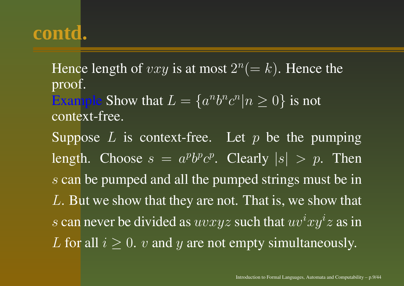Hence length of  $vxy$  is at most  $2^n(=k)$ . Hence the proof. Example Show that  $L = \{a^n b^n c^n | n \geq 0\}$  is not context-free. Suppose  $L$  is context-free. Let  $p$  be the pumping length. Choose  $s = a^p b^p c^p$ . Clearly  $|s| > p$ . Then s can be pumped and all the pumped strings must be in  $L.$  But we show that they are not. That is, we show that s can never be divided as  $uvxyz$  such that  $uv^ixy^iz$  as in L for all  $i \geq 0$ .  $v$  and  $y$  are not empty simultaneously.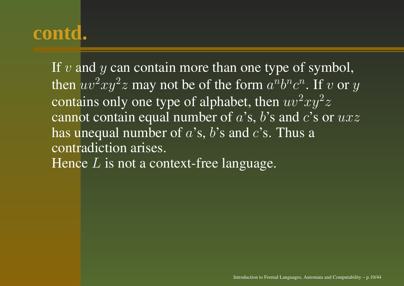If  $v$  and  $y$  can contain more than one type of symbol, then  $uv^2xy^2z$  may not be of the form  $a^nb^nc^n.$  If  $v$  or  $y$ contains only one type of alphabet, then  $uv^2xy^2z$ cannot contain equal number of  $a$ 's,  $b$ 's and  $c$ 's or  $uxz$ has unequal number of  $a$ 's,  $b$ 's and  $c$ 's. Thus a contradiction arises. Hence  $L$  is not a context-free language.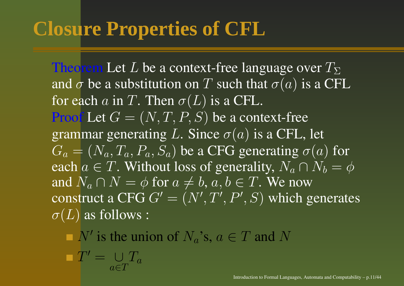Theorem Let  $L$  be a context-free language over  $T_\Sigma$ and  $\sigma$  be a substitution on  $T$  such that  $\sigma(a)$  is a CFL for each  $a$  in  $T.$  Then  $\sigma(L)$  is a CFL. Proof Let  $G=(N,T,P,S)$  be a context-free grammar generating L. Since  $\sigma(a)$  is a CFL, let  $G_a = (N_a, T_a, P_a, S_a)$  be a CFG generating  $\sigma(a)$  for each  $a\in T.$  Without loss of generality,  $N_a\cap N_b=\phi$ and  $N_a \cap N = \phi$  for  $a \neq b,$   $a,b \in T.$  We now construct a CFG  $G'=(N',T',P',S)$  which generates  $\sigma(L)$  as follows :

N' is the union of  $N_a$ 's,  $a \in T$  and N

 $T' = \ \cup$  $a{\in}T$  $T_{a}$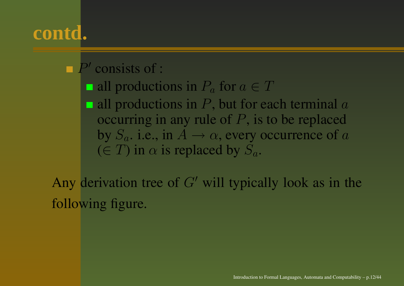#### $P'$  consists of :

all productions in  $P_a$  for  $a\in T$ 

all productions in  $P,$  but for each terminal  $a$ occurring in any rule of  $P$ , is to be replaced by  $S_a$ . i.e., in  $A \rightarrow \alpha$ , every occurrence of a  $(\in T)$  in  $\alpha$  is replaced by  $S_a$ .

Any derivation tree of  $G'$  will typically look as in the following figure.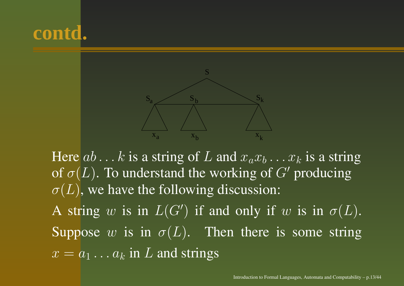



Here  $ab \dots k$  is a string of  $L$  and  $x_a x_b \dots x_k$  is a string of  $\sigma(L).$  To understand the working of  $G'$  producing  $\sigma(L)$ , we have the following discussion: A string  $w$  is in  $L(G')$  if and only if  $w$  is in  $\sigma(L)$ . Suppose w is in  $\sigma(L)$ . Then there is some string  $x = a_1 \dots a_k$  in  $L$  and strings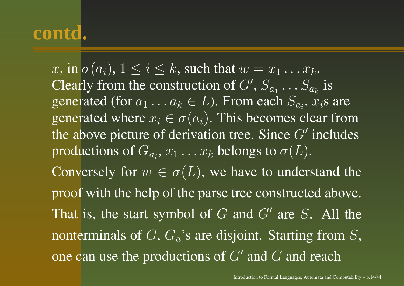$x_i$  in  $\sigma(a_i),\,1\leq i\leq k,$  such that  $w=x_1\ldots x_k.$ Clearly from the construction of  $G',$   $S_{a_1}\ldots S_{a_k}$  is generated (for  $a_1 \ldots a_k \in L$ ). From each  $S_{a_i},$   $x_i$ s are generated where  $x_i \in \sigma(a_i)$ . This becomes clear from the above picture of derivation tree. Since  $G'$  includes productions of  $G_{a_i},$   $x_1 \ldots x_k$  belongs to  $\sigma(L).$ Conversely for  $w \in \sigma(L)$ , we have to understand the proof with the help of the parse tree constructed above. That is, the start symbol of  $G$  and  $G'$  are S. All the nonterminals of  $G,$   $G_{a}$ 's are disjoint. Starting from  $S,$ one can use the productions of  $G^{\prime}$  and  $G$  and reach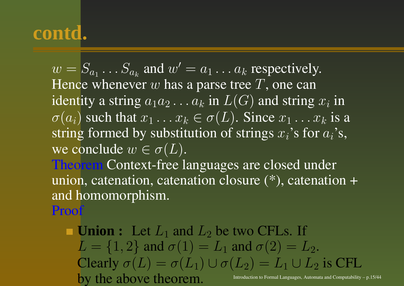$w = S_{a_1} \dots S_{a_k}$  and  $w' = a_1 \dots a_k$  respectively. Hence whenever  $w$  has a parse tree  $T,$  one can identity a string  $a_1a_2...a_k$  in  $L(G)$  and string  $x_i$  in  $\sigma(a_i)$  such that  $x_1 \dots x_k \in \sigma(L)$ . Since  $x_1 \dots x_k$  is a string formed by substitution of strings  $x_i$ 's for  $a_i$ 's, we conclude  $w \in \sigma(L).$ 

Theorem Context-free languages are closed under union, catenation, catenation closure (\*), catenation <sup>+</sup> and homomorphism.

Proof

**Union :** Let  $L_1$  and  $L_2$  be two CFLs. If  $L = \{1, 2\}$  and  $\sigma(1) = L_1$  and  $\sigma(2) = L_2$ . Clearly  $\sigma(L) = \sigma(L_1) \cup \sigma(L_2) = L_1 \cup L_2$  is CFL by the above theorem. Introduction to Formal Languages, Automata and Computability – p.15/44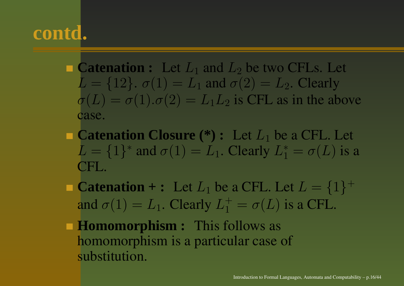- **Catenation :** Let  $L_1$  and  $L_2$  be two CFLs. Let  $L = \{12\}$ .  $\sigma(1) = L_1$  and  $\sigma(2) = L_2$ . Clearly  $\sigma(L) = \sigma(1) \cdot \sigma(2) = L_1 L_2$  is CFL as in the above case.
- **Catenation Closure (\*) :** Let L<sup>1</sup> be <sup>a</sup> CFL. Let  $L = \{1\}^*$  and  $\sigma(1) = L_1$ . Clearly  $L_1^* = \sigma(L)$  is a CFL.
- **Catenation + :** Let  $L_1$  be a CFL. Let  $L = \{1\}^+$ and  $\sigma(1) = L_1$ . Clearly  $L_1^+ = \sigma(L)$  is a CFL.
- **Homomorphism** : This follows as homomorphism is <sup>a</sup> particular case of substitution.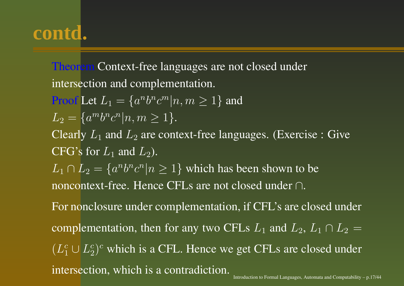Theorem Context-free languages are not closed under intersection and complementation.

**Proof** Let 
$$
L_1 = \{a^n b^n c^m | n, m \ge 1\}
$$
 and  $L_2 = \{a^m b^n c^n | n, m \ge 1\}.$ 

Clearly  $L_1$  and  $L_2$  are context-free languages. (Exercise : Give CFG's for  $L_1$  and  $L_2$ ).

 $L_1 \cap L_2 = \{a^n b^n c^n | n \ge 1\}$  which has been shown to be noncontext-free. Hence CFLs are not closed under ∩.

For nonclosure under complementation, if CFL's are closed under complementation, then for any two CFLs  $L_1$  and  $L_2$ ,  $L_1 \cap L_2 =$  $(L_1^c\cup L_2^c)^c$  which is a CFL. Hence we get CFLs are closed under intersection, which is <sup>a</sup> contradiction.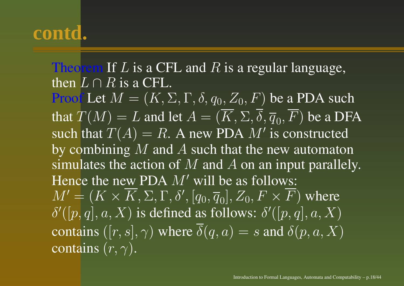Theorem If  $L$  is a CFL and  $R$  is a regular language, then  $L \cap R$  is a CFL. Proof Let  $M = (K,\Sigma,\Gamma,\delta,q_0,Z_0,F)$  be a PDA such that  $T(M)=L$  and let  $A=(K,\Sigma,\delta,\overline{q}_0,F)$  be a DFA such that  $T(A)=R.$  A new PDA  $M^\prime$  is constructed by combining  $\overline{M}$  and  $\overline{A}$  such that the new automaton simulates the action of  $M$  and  $A$  on an input parallely. Hence the new PDA  $M'$  will be as follows:  $M' = (K \times K, \Sigma, \Gamma, \delta', [q_0, \overline{q}_0], Z_0, F \times F)$  where  $\delta'([p,q], a, X)$  is defined as follows:  $\delta'([p,q], a, X)$ contains  $([r,s],\gamma)$  where  $\delta(q,a)=s$  and  $\delta(p,a,X)$ contains  $(r,\gamma).$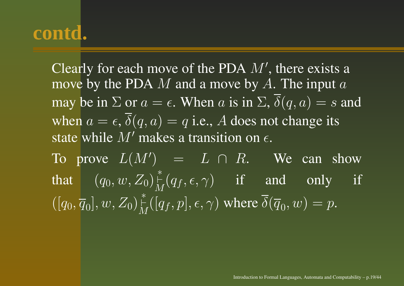Clearly for each move of the PDA  $M'$ , there exists a move by the PDA  $M$  and a move by  $A$ . The input  $a$ may be in  $\Sigma$  or  $a = \epsilon$ . When a is in  $\Sigma$ ,  $\overline{\delta}(q, a) = s$  and when  $a = \epsilon, \, \delta(q, a) = q$  i.e., A does not change its state while  $M'$  makes a transition on  $\epsilon.$ To prove  $L(M')$  =  $L \cap R$ . We can show that

t  $(q_0, w, Z_0)^\ast_M(q_f, \epsilon, \gamma)$  if and only if  $\overline{\overline{P((q_0, \overline{q}_0], w, Z_0)}\big|_M^*([q_f, p], \epsilon, \gamma)}$  where  $\overline{\delta(\overline{q}_0, w)} = p$ .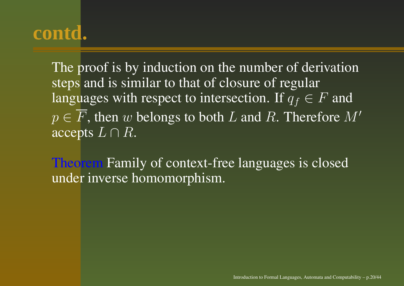The proof is by induction on the number of derivation steps and is similar to that of closure of regular languages with respect to intersection. If  $q_f \in F$  and  $p \in F$ , then w belongs to both L and R. Therefore  $M'$ accepts  $L \cap R$ .

Theorem Family of context-free languages is closed under inverse homomorphism.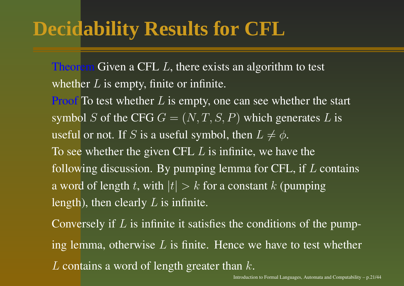# **Decidability Results for CFL**

Theorem Given a CFL  $L$ , there exists an algorithm to test whether  $L$  is empty, finite or infinite.

**Proof** To test whether  $L$  is empty, one can see whether the start symbol S of the CFG  $G = (N, T, S, P)$  which generates L is useful or not. If  $S$  is a useful symbol, then  $L\neq \phi.$ To see whether the given CFL  $L$  is infinite, we have the following discussion. By pumping lemma for CFL, if  $L$  contains a word of length  $t,$  with  $|t| > k$  for a constant  $k$  (pumping length), then clearly  $L$  is infinite.

Conversely if L is infinite it satisfies the conditions of the pumping lemma, otherwise  $L$  is finite. Hence we have to test whether L contains a word of length greater than  $k$ .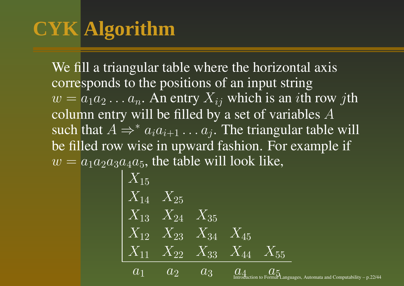# **CYK Algorithm**

We fill <sup>a</sup> triangular table where the horizontal axis corresponds to the positions of an input string  $w = a_1 a_2 \dots a_n$ . An entry  $X_{ij}$  which is an *i*th row *j*th column entry will be filled by a set of variables  $A$ such that  $A \Rightarrow^* a_i a_{i+1} \ldots a_j.$  The triangular table will be filled row wise in upward fashion. For example if  $w = a_1 a_2 a_3 a_4 a_5$ , the table will look like,

$$
\begin{array}{|l|} \hline X_{15} \\ X_{14} & X_{25} \\ X_{13} & X_{24} & X_{35} \\ X_{12} & X_{23} & X_{34} & X_{45} \\ \hline X_{11} & X_{22} & X_{33} & X_{44} & X_{55} \\ \hline a_1 & a_2 & a_3 & a_4 \\ \hline a_2 & a_3 & a_5 \\ \hline \end{array}
$$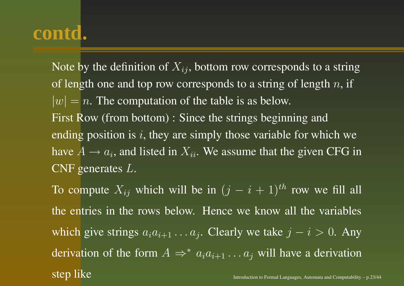Note by the definition of  $X_{ij},$  bottom row corresponds to a string of length one and top row corresponds to a string of length  $n,$  if  $|w| = n$ . The computation of the table is as below. First Row (from bottom) : Since the strings beginning and ending position is  $i$ , they are simply those variable for which we have  $A\rightarrow a_i,$  and listed in  $X_{ii}.$  We assume that the given CFG in CNF generates  $L$ .

To compute  $X_{ij}$  which will be in  $(j - i + 1)^{th}$  row we fill all the entries in the rows below. Hence we know all the variables which give strings  $a_i a_{i+1} \dots a_j$ . Clearly we take  $j - i > 0$ . Any derivation of the form  $A \Rightarrow^* a_i a_{i+1} \dots a_j$  will have a derivation step like  $\sup_{\text{interaction to Formal Languages, Automata and Computability - p.23/44}$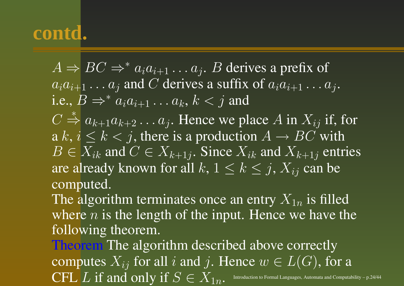$A \Rightarrow BC \Rightarrow^* a_i a_{i+1} \dots a_j$ . B derives a prefix of  $\overline{a_i a_{i+1} \dots a_j}$  and C derives a suffix of  $\overline{a_i a_{i+1} \dots a_j}$ . i.e.,  $B \Rightarrow^* a_i a_{i+1} \dots a_k$ ,  $k < j$  and  $C \stackrel{*}{\Rightarrow} a_{k+1}a_{k+2} \ldots a_j$ . Hence we place A in  $X_{ij}$  if, for a  $k, i \leq k < j$ , there is a production  $A \rightarrow BC$  with  $B \in X_{ik}$  and  $C \in X_{k+1j}$ . Since  $X_{ik}$  and  $X_{k+1j}$  entries are already known for all  $k,\,1\leq k\leq j,\,X_{ij}$  can be computed.

The algorithm terminates once an entry  $X_{1n}$  is filled where  $n$  is the length of the input. Hence we have the following theorem.

Theorem The algorithm described above correctly computes  $X_{ij}$  for all i and j. Hence  $w \in L(G)$ , for a  $\operatorname{CFL} L$   $I$   $i f$  and only  $if$   $S \in X_{1n}.$  Introduction to Formal Languages, Automata and Computability – p.24/44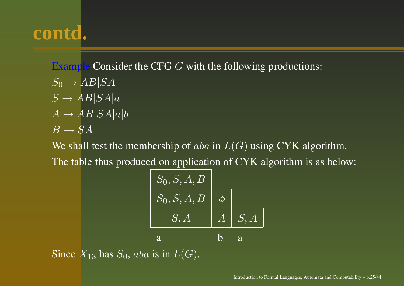Example Consider the CFG G with the following productions:  $S_0 \to AB|SA$  $S \to AB|SA|a$  $A \to AB|SA|a|b$  $B \to SA$ 

We shall test the membership of  $aba$  in  $L(G)$  using CYK algorithm.

The table thus produced on application of CYK algorithm is as below:

$$
\begin{array}{|c|c|} \hline S_0, S, A, B \\ \hline S_0, S, A, B & \phi \\ \hline S, A & A & S, A \\ \hline a & b & a \\ \hline \end{array}
$$

Since  $X_{13}$  has  $S_0$ , aba is in  $L(G)$ .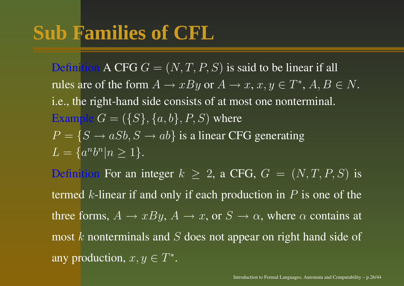# **Sub Families of CFL**

Definition A CFG  $G = (N, T, P, S)$  is said to be linear if all rules are of the form  $A \to xBy$  or  $A \to x$ ,  $x,y \in T^*, A,B \in N.$ i.e., the right-hand side consists of at most one nonterminal. Example  $G = (\{S\}, \{a, b\}, P, S)$  where  $P = \{S \rightarrow aSb, S \rightarrow ab\}$  is a linear CFG generating  $L = \{a^n b^n | n \geq 1\}.$ Definition For an integer  $k \geq 2$ , a CFG,  $G = (N, T, P, S)$  is termed k-linear if and only if each production in  $P$  is one of the three forms,  $A \to xBy$ ,  $A \to x$ , or  $S \to \alpha$ , where  $\alpha$  contains at most  $k$  nonterminals and  $S$  does not appear on right hand side of any production,  $x, y \in T^*$ .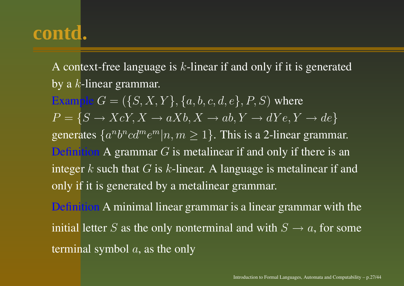A context-free language is  $k$ -linear if and only if it is generated by a  $k$ -linear grammar. **Example**  $G = (\{S, X, Y\}, \{a, b, c, d, e\}, P, S)$  where  $P = \{S \rightarrow XcY, X \rightarrow aXb, X \rightarrow ab, Y \rightarrow dYe, Y \rightarrow de\}$ generates  $\{a^n b^n c d^m e^m | n, m \ge 1\}$ . This is a 2-linear grammar. Definition A grammar  $G$  is metalinear if and only if there is an integer  $k$  such that  $G$  is  $k$ -linear. A language is metalinear if and only if it is generated by a metalinear grammar. Definition A minimal linear grammar is <sup>a</sup> linear grammar with the initial letter S as the only nonterminal and with  $S \to a,$  for some

terminal symbol  $a$ , as the only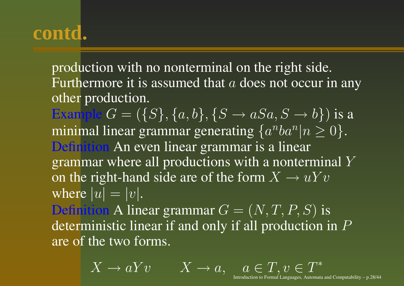production with no nonterminal on the right side. Furthermore it is assumed that  $a$  does not occur in any other production.

Example  $G = (\{S\}, \{a, b\}, \{S \rightarrow aSa, S \rightarrow b\})$  is a minimal linear grammar generating  $\{a^nba^n|n\geq 0\}.$ Definition An even linear grammar is <sup>a</sup> linear grammar where all productions with <sup>a</sup> nonterminal Y on the right-hand side are of the form  $X \to uYv$ where  $|u|=|v|.$ 

Definition A linear grammar  $G = (N, T, P, S)$  is deterministic linear if and only if all production in  $P$ are of the two forms.

 $X \to aYv \qquad X \to a, \quad a \in T, v \in T^*$ 

Introduction to Formal Languages, Automata and Computability – p.28/44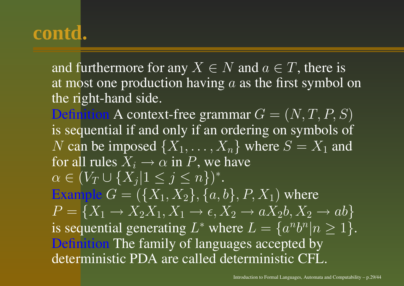and furthermore for any  $X \in N$  and  $a \in T,$  there is at most one production having  $a$  as the first symbol on the right-hand side.

Definition A context-free grammar  $G=(N,T,P,S)$ is sequential if and only if an ordering on symbols of  $N$  can be imposed  $\{X_1, \ldots, X_n\}$  where  $S = X_1$  and for all rules  $X_i \rightarrow \alpha$  in  $P,$  we have  $\alpha$  $\alpha \in (V_T \cup \{X_j | 1 \leq j \leq n\})^*.$ **Example**  $G = (\{X_1, X_2\}, \{a, b\}, P, X_1)$  where  $P = \{X_1 \rightarrow X_2X_1, X_1 \rightarrow \epsilon, X_2 \rightarrow aX_2b, X_2 \rightarrow ab\}$ is sequential generating  $L^*$  where  $L = \{a^n b^n | n \ge 1\}.$ Definition The family of languages accepted by deterministic PDA are called deterministic CFL.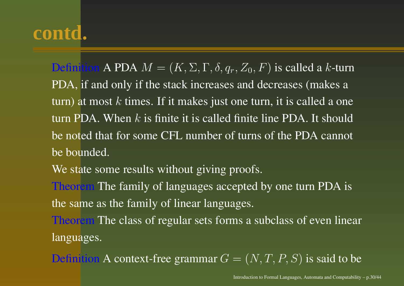Definition A PDA  $M = (K, \Sigma, \Gamma, \delta, q_r, Z_0, F)$  is called a k-turn PDA, if and only if the stack increases and decreases (makes <sup>a</sup> turn) at most  $k$  times. If it makes just one turn, it is called a one turn PDA. When k is finite it is called finite line PDA. It should be noted that for some CFL number of turns of the PDA cannot be bounded.

We state some results without giving proofs.

Theorem The family of languages accepted by one turn PDA is the same as the family of linear languages.

Theorem The class of regular sets forms <sup>a</sup> subclass of even linear languages.

Definition A context-free grammar  $G = (N, T, P, S)$  is said to be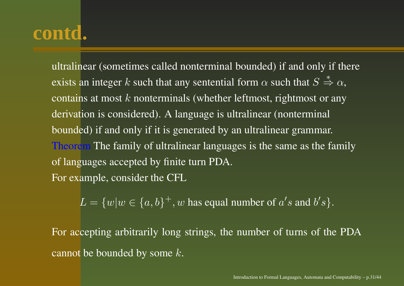ultralinear (sometimes called nonterminal bounded) if and only if there exists an integer  $k$  such that any sentential form  $\alpha$  such that  $S\overset{*}{\Rightarrow}\alpha,$ contains at most  $k$  nonterminals (whether leftmost, rightmost or any derivation is considered). A language is ultralinear (nonterminal bounded) if and only if it is generated by an ultralinear grammar. Theorem The family of ultralinear languages is the same as the family of languages accepted by finite turn PDA. For example, consider the CFL

 $L = \{w|w \in \{a,b\}^+, w$  has equal number of  $a's$  and  $b's$ .

For accepting arbitrarily long strings, the number of turns of the PDA cannot be bounded by some  $k.$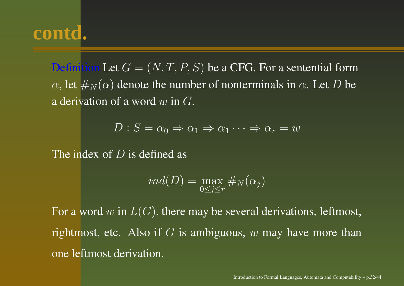Definition Let  $G=(N,T,P,S)$  be a CFG. For a sentential form  $\alpha$ , let  $\#_N(\alpha)$  denote the number of nonterminals in  $\alpha$ . Let D be a derivation of a word  $w$  in  $G$ .

$$
D: S = \alpha_0 \Rightarrow \alpha_1 \Rightarrow \alpha_1 \cdots \Rightarrow \alpha_r = w
$$

The index of  $D$  is defined as

$$
ind(D) = \max_{0 \le j \le r} \#_N(\alpha_j)
$$

For a word  $w$  in  $L(G),$  there may be several derivations, leftmost, rightmost, etc. Also if  $G$  is ambiguous,  $w$  may have more than one leftmost derivation.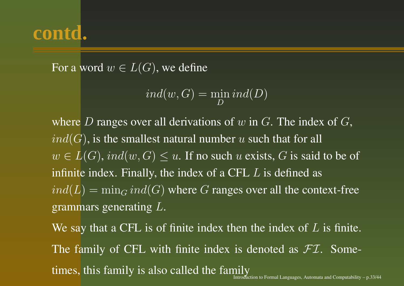For a word  $w\in L(G),$  we define

$$
ind(w, G) = \min_{D} ind(D)
$$

where D ranges over all derivations of  $w$  in  $G$ . The index of  $G$ ,  $ind(G)$ , is the smallest natural number u such that for all  $w \in L(G)$ ,  $ind(w, G) \leq u$ . If no such u exists, G is said to be of infinite index. Finally, the index of a CFL  $L$  is defined as  $ind(L) = min_G ind(G)$  where G ranges over all the context-free grammars generating L.

We say that a CFL is of finite index then the index of  $L$  is finite. The family of CFL with finite index is denoted as  $\mathcal{FI}$ . Sometimes, this family is also called the family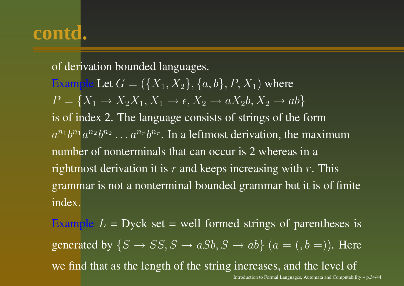of derivation bounded languages. **Example Let**  $G = (\{X_1, X_2\}, \{a, b\}, P, X_1)$  where  $P = \{X_1 \rightarrow X_2X_1, X_1 \rightarrow \epsilon, X_2 \rightarrow aX_2b, X_2 \rightarrow ab\}$ is of index 2. The language consists of strings of the form  $a^{n_1}b^{n_1}a^{n_2}b^{n_2}\ldots a^{n_r}b^{n_r}$ . In a leftmost derivation, the maximum number of nonterminals that can occur is 2 whereas in <sup>a</sup> rightmost derivation it is  $r$  and keeps increasing with  $r$ . This grammar is not <sup>a</sup> nonterminal bounded grammar but it is of finite index.

Example  $L = Dyck$  set = well formed strings of parentheses is generated by  $\{S \rightarrow SS, S \rightarrow aSb, S \rightarrow ab\}$   $(a = (b = 0).$  Here we find that as the length of the string increases, and the level of Introduction to Formal Languages, Automata and Computability – p.34/44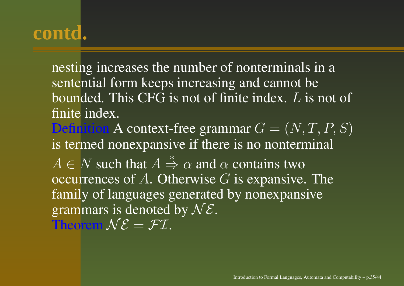nesting increases the number of nonterminals in <sup>a</sup> sentential form keeps increasing and cannot be bounded. This CFG is not of finite index. L is not of finite index. Definition A context-free grammar  $G = (N, T, P, S)$ is termed nonexpansive if there is no nonterminal  $A \in N$  such that  $A \stackrel{*}{\Rightarrow} \alpha$  and  $\alpha$  contains two

occurrences of  $A$ . Otherwise  $G$  is expansive. The family of languages generated by nonexpansive grammars is denoted by  $N\mathcal{E}$ . Theorem  $N\mathcal{E} = \mathcal{FI}$ .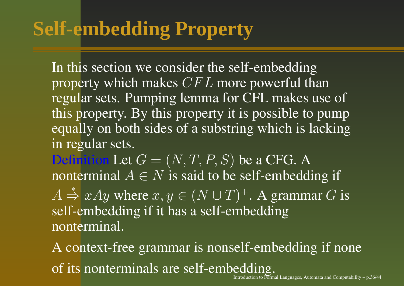# **Self-embedding Property**

In this section we consider the self-embedding property which makes  $CFL$  more powerful than regular sets. Pumping lemma for CFL makes use of this property. By this property it is possible to pump equally on both sides of a substring which is lacking in regular sets.

Definition Let  $G = (N, T, P, S)$  be a CFG. A nonterminal  $A \in N$  is said to be self-embedding if

 $\displaystyle {\it A}$  $\stackrel{*}{\Rightarrow} xAy$  where  $x, y \in (N \cup T)^{+}$ . A grammar G is self-embedding if it has a self-embedding nonterminal.

A context-free grammar is nonself-embedding if none of its nonterminals are self-embedding. n to Formal Languages, Automata and Computability – p.36/44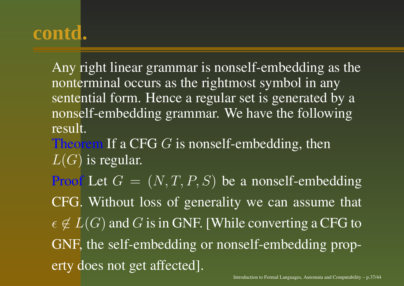Any right linear grammar is nonself-embedding as the nonterminal occurs as the rightmost symbol in any sentential form. Hence <sup>a</sup> regular set is generated by <sup>a</sup> nonself-embedding grammar. We have the following result.

Theorem If a CFG  $G$  is nonself-embedding, then  $L(G)$  is regular.

Proof Let  $G = (N, T, P, S)$  be a nonself-embedding

CFG. Without loss of generality we can assume that

 $\epsilon\not\in L(G)$  and  $G$  is in GNF. [While converting a CFG to GNF, the self-embedding or nonself-embedding property does not ge<sup>t</sup> affected].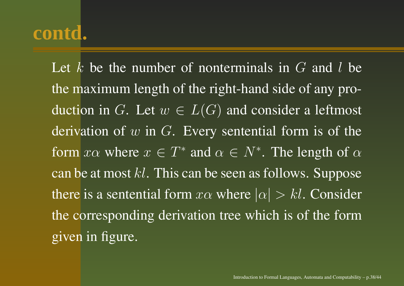Let k be the number of nonterminals in  $G$  and l be the maximum length of the right-hand side of any production in  $G.$  Let  $w\in L(G)$  and consider a leftmost derivation of  $w$  in  $G$ . Every sentential form is of the form  $x\alpha$  where  $x \in T^*$  and  $\alpha \in N^*$ . The length of  $\alpha$ can be at most  $kl.$  This can be seen as follows. Suppose there is a sentential form  $x\alpha$  where  $|\alpha| > kl.$  Consider the corresponding derivation tree which is of the form given in figure.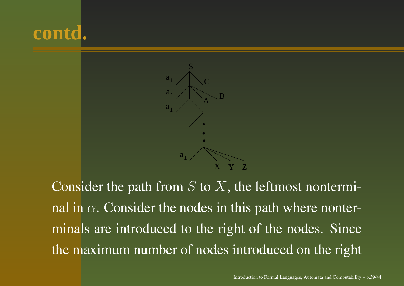



Consider the path from  $S$  to  $X$ , the leftmost nonterminal in  $\alpha$ . Consider the nodes in this path where nonterminals are introduced to the right of the nodes. Since the maximum number of nodes introduced on the right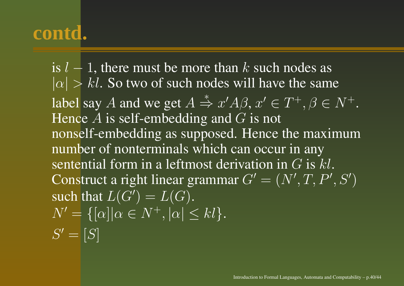is  $l-1$ , there must be more than  $k$  such nodes as  $|\alpha| > kl$ . So two of such nodes will have the same label say A and we get  $A \stackrel{*}{\Rightarrow} x'A\beta$ ,  $x' \in T^+, \beta \in N^+$ . Hence  $A$  is self-embedding and  $G$  is not nonself-embedding as supposed. Hence the maximum number of nonterminals which can occur in any sentential form in a leftmost derivation in  $G$  is  $kl$ . Construct a right linear grammar  $G^{\prime}=(N^{\prime},T,P^{\prime},S^{\prime})$ such that  $L(G^{\prime})=L(G).$  $N'=\{[\alpha]|\alpha\in N^+, |\alpha|\leq kl\}.$  $S' = [S]$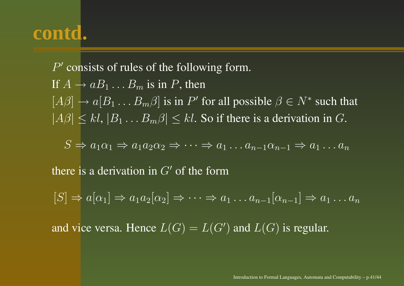$P'$  consists of rules of the following form. If  $A \rightarrow aB_1 \dots B_m$  is in P, then  $\overline{[A\beta]} \to \overline{a[B_1 \dots B_m \beta]}$  is in P' for all possible  $\beta \in \overline{N^*}$  such that  $|A\beta| \le kl$ ,  $|B_1 \dots B_m \beta| \le kl$ . So if there is a derivation in G.

$$
S \Rightarrow a_1 \alpha_1 \Rightarrow a_1 a_2 \alpha_2 \Rightarrow \dots \Rightarrow a_1 \dots a_{n-1} \alpha_{n-1} \Rightarrow a_1 \dots a_n
$$

there is a derivation in  $G'$  of the form

 $[S] \Rightarrow a[\alpha_1] \Rightarrow a_1a_2[\alpha_2] \Rightarrow \cdots \Rightarrow a_1 \dots a_{n-1}[\alpha_{n-1}] \Rightarrow a_1 \dots a_n$ 

and vice versa. Hence  $L(G) = L(G')$  and  $L(G)$  is regular.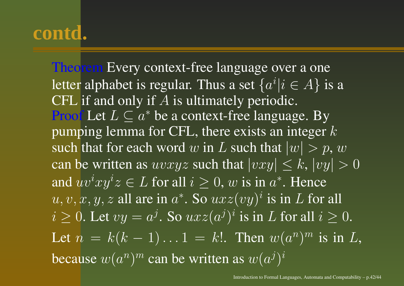Theorem Every context-free language over a one letter alphabet is regular. Thus a set  $\{a^i | i \in A\}$  is a CFL if and only if  $A$  is ultimately periodic. Proof Let  $L \subseteq a^*$  be a context-free language. By pumping lemma for CFL, there exists an integer  $k$ such that for each word  $w$  in  $L$  such that  $|w|>p,$   $w$ can be written as  $uvxyz$  such that  $|vxy| \leq k, |vy| > 0$ and  $uv^ixy^iz\in L$  for all  $i\geq 0,$   $w$  is in  $a^*.$  Hence  $u, v, x, y, z$  all are in  $a^*$ . So  $uxz(vy)^i$  is in L for all  $i \geq 0$ . Let  $vy = a^j$ . So  $uxz(a^j)^i$  is in L for all  $i \geq 0$ . Let  $n = k(k-1)...1 = k!$ . Then  $w(a^n)^m$  is in L, because  $w(a^n)^m$  can be written as  $w(a^j)^i$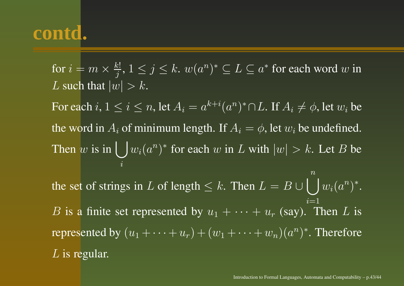for  $i=m$  $m \times \frac{k!}{j}, 1 \le j \le k.$   $w(a^n)^* \subseteq L \subseteq a^*$  for each word  $w$  in L such that  $|w| > k$ . For each  $i,$   $1\leq i\leq n,$  let  $A_i=a^{k+i}(a^n)^*\cap L.$  If  $A_i\neq\phi,$  let  $w_i$  be the word in  $A_i$  of minimum length. If  $A_i = \phi$ , let  $w_i$  be undefined. Then  $w$ w is in  $\bigcup w_i(a^n)^*$  for each w in L with  $|w| > k$ . Let B be  $\it i$ the set of strings in L of length  $\leq k$ . Then  $L = B \cup \bigcup w_i(a^n)^*$ .  $\, n \,$  $i{=}1$ B is a finite set represented by  $u_1 + \cdots + u_r$  (say). Then L is represented by  $(u_1 + \cdots + u_r) + (w_1 + \cdots + w_n)(a^n)^*$ . Therefore  $L$  is regular.